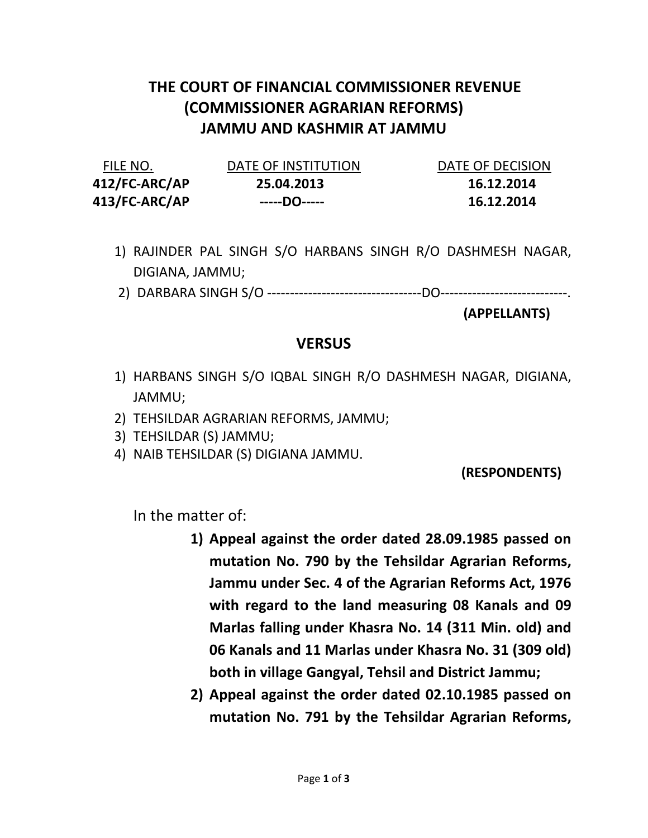## THE COURT OF FINANCIAL COMMISSIONER REVENUE (COMMISSIONER AGRARIAN REFORMS) JAMMU AND KASHMIR AT JAMMU

| FILE NO.      | DATE OF INSTITUTION | DATE OF DECISION |
|---------------|---------------------|------------------|
| 412/FC-ARC/AP | 25.04.2013          | 16.12.2014       |
| 413/FC-ARC/AP | -----DO-----        | 16.12.2014       |

- 1) RAJINDER PAL SINGH S/O HARBANS SINGH R/O DASHMESH NAGAR, DIGIANA, JAMMU;
- 2) DARBARA SINGH S/O ----------------------------------DO----------------------------.

(APPELLANTS)

## **VERSUS**

- 1) HARBANS SINGH S/O IQBAL SINGH R/O DASHMESH NAGAR, DIGIANA, JAMMU;
- 2) TEHSILDAR AGRARIAN REFORMS, JAMMU;
- 3) TEHSILDAR (S) JAMMU;
- 4) NAIB TEHSILDAR (S) DIGIANA JAMMU.

(RESPONDENTS)

In the matter of:

- 1) Appeal against the order dated 28.09.1985 passed on mutation No. 790 by the Tehsildar Agrarian Reforms, Jammu under Sec. 4 of the Agrarian Reforms Act, 1976 with regard to the land measuring 08 Kanals and 09 Marlas falling under Khasra No. 14 (311 Min. old) and 06 Kanals and 11 Marlas under Khasra No. 31 (309 old) both in village Gangyal, Tehsil and District Jammu;
- 2) Appeal against the order dated 02.10.1985 passed on mutation No. 791 by the Tehsildar Agrarian Reforms,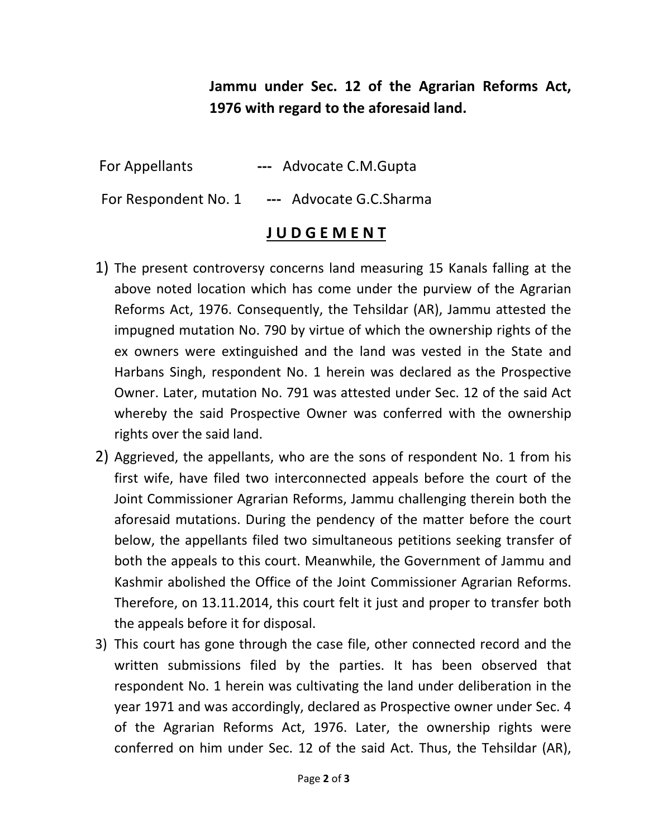Jammu under Sec. 12 of the Agrarian Reforms Act, 1976 with regard to the aforesaid land.

For Appellants --- Advocate C.M.Gupta

For Respondent No. 1 --- Advocate G.C.Sharma

## J U D G E M E N T

- 1) The present controversy concerns land measuring 15 Kanals falling at the above noted location which has come under the purview of the Agrarian Reforms Act, 1976. Consequently, the Tehsildar (AR), Jammu attested the impugned mutation No. 790 by virtue of which the ownership rights of the ex owners were extinguished and the land was vested in the State and Harbans Singh, respondent No. 1 herein was declared as the Prospective Owner. Later, mutation No. 791 was attested under Sec. 12 of the said Act whereby the said Prospective Owner was conferred with the ownership rights over the said land.
- 2) Aggrieved, the appellants, who are the sons of respondent No. 1 from his first wife, have filed two interconnected appeals before the court of the Joint Commissioner Agrarian Reforms, Jammu challenging therein both the aforesaid mutations. During the pendency of the matter before the court below, the appellants filed two simultaneous petitions seeking transfer of both the appeals to this court. Meanwhile, the Government of Jammu and Kashmir abolished the Office of the Joint Commissioner Agrarian Reforms. Therefore, on 13.11.2014, this court felt it just and proper to transfer both the appeals before it for disposal.
- 3) This court has gone through the case file, other connected record and the written submissions filed by the parties. It has been observed that respondent No. 1 herein was cultivating the land under deliberation in the year 1971 and was accordingly, declared as Prospective owner under Sec. 4 of the Agrarian Reforms Act, 1976. Later, the ownership rights were conferred on him under Sec. 12 of the said Act. Thus, the Tehsildar (AR),